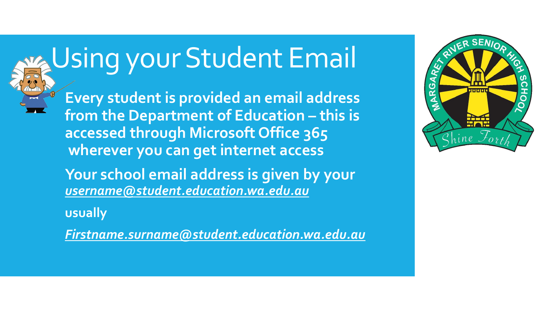

# Using your Student Email

**Every student is provided an email address from the Department of Education – this is accessed through Microsoft Office 365 wherever you can get internet access**

**Your school email address is given by your**  *[username@student.education.wa.edu.au](mailto:username@student.education.wa.edu.au)*

**usually**

*[Firstname.surname@student.education.wa.edu.au](mailto:Firstname.surname@student.education.wa.edu.au)*

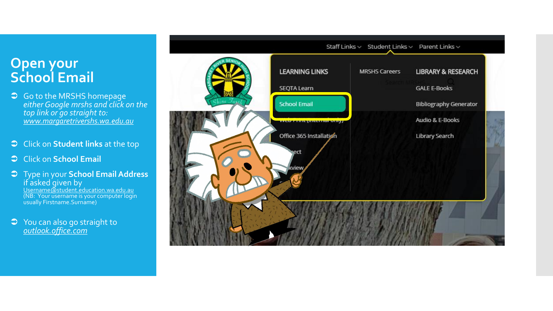#### **Open your School Email**

- S Go to the MRSHS homepage *either Google mrshs and click on the top link or go straight to: [www.margaretrivershs.wa.edu.au](http://www.margaretrivershs.wa.edu.au/)*
- Click on **Student links** at the top
- Click on **School Email**
- Type in your **School Email Address**  if asked given by

[Username@student.education.wa.edu.au](mailto:Username@student.education.wa.edu.au) (NB: Your username is your computer login usually Firstname.Surname)

 You can also go straight to *[outlook.office.com](http://outlook.office.com/)*

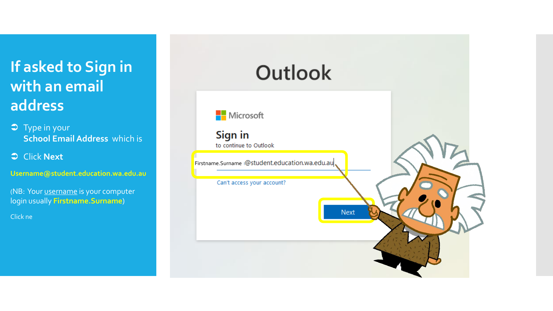# **If asked to Sign in with an email address**

- Type in your **School Email Address** which is
- Click **Next**

**Username@student.education.wa.edu.au**

(NB: Your username is your computer login usually **Firstname.Surname**)

Click ne

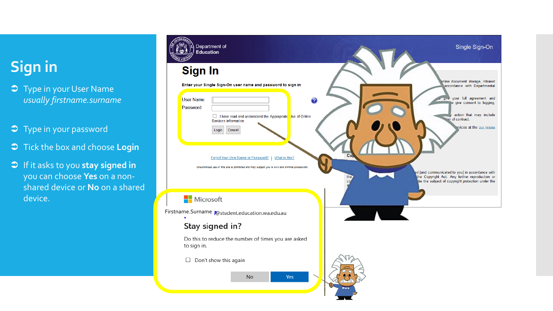# **Sign in**

- **J** Type in your User Name *usually firstname.surname*
- Type in your password
- $\supset$  Tick the box and choose **Login**
- If it asks to you **stay signed in**  you can choose **Yes** on a nonshared device or **No** on a shared device.

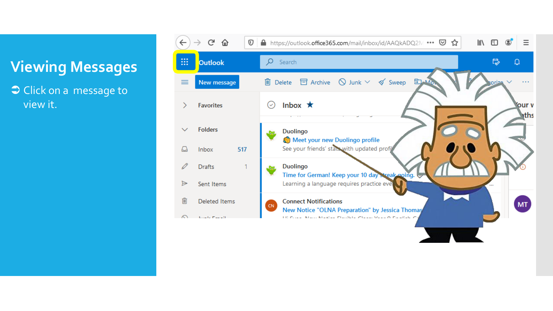### **Viewing Messages**

Click on a message to view it.

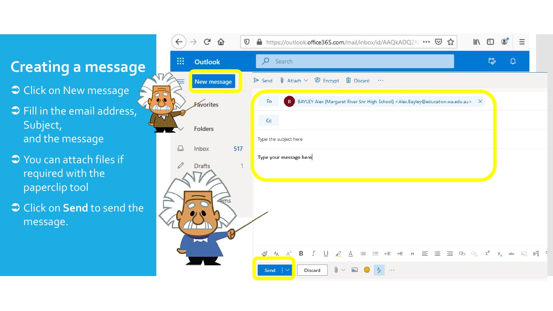#### **Creating a message**

- $\bullet$  Click on New message
- $\supset$  Fill in the email address, Subject, and the message
- $\supset$  You can attach files if required with the paperclip tool
- Click on **Send** to send the message.

|                         | $\leftarrow$ | G<br>仚                  | $\mathbb O$ | A https://outlook.office365.com/mail/inbox/id/AAQkADQ2M ••• ⊙ ☆<br>$\parallel$                                                      | ▥                       |                      | Ξ               |  |
|-------------------------|--------------|-------------------------|-------------|-------------------------------------------------------------------------------------------------------------------------------------|-------------------------|----------------------|-----------------|--|
|                         | 88           | Outlook                 |             | Q<br>Search                                                                                                                         | $\overline{\mathbb{Q}}$ | $\hbox{\large\it Q}$ |                 |  |
| $\sqrt{}$               |              | New message             |             | $\emptyset$ Attach $\vee$ $\emptyset$ Encrypt<br><b>I</b> Discard<br>$\triangleright$ Send<br>$\sim$ $\sim$                         |                         |                      |                 |  |
|                         |              | Favorites               |             | BAYLEY Alex [Margaret River Snr High School] <alex.bayley@education.wa.edu.au><br/>To<br/>B<br/>×</alex.bayley@education.wa.edu.au> |                         |                      |                 |  |
| $\overline{\mathbf{v}}$ |              | <b>Folders</b><br>Inbox |             | Cc                                                                                                                                  |                         |                      |                 |  |
|                         | ہ            |                         | 517         | Type the subject here                                                                                                               |                         |                      |                 |  |
|                         | P            | Drafts                  |             | Type your message here                                                                                                              |                         |                      |                 |  |
|                         |              |                         |             |                                                                                                                                     |                         |                      |                 |  |
|                         |              | ems                     |             |                                                                                                                                     |                         |                      |                 |  |
|                         |              |                         |             |                                                                                                                                     |                         |                      |                 |  |
|                         |              |                         |             | 亖<br>三三目<br>B<br>₽<br>$\rightarrow \equiv$<br>$\, \, \mathfrak{y}$<br>ග ග්<br>€                                                     | $\times^2$              |                      | $P$ $P_4$ $P_3$ |  |
|                         |              |                         |             | $\mathcal{S}$ $A$ $A^{\circ}$<br>⊍<br>$\overline{I}$<br>挂<br>⋿<br>0<br>Discard<br>Send<br>$\sim$ $\sim$ $\sim$                      |                         | $X_{2}$<br>abe       |                 |  |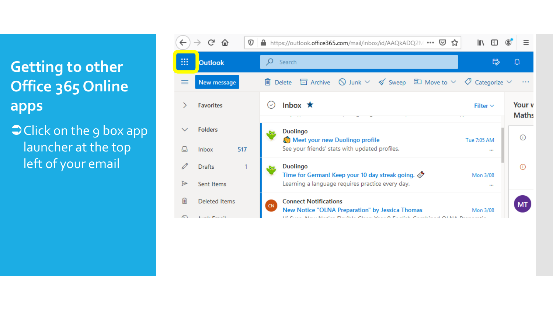**Getting to other Office 365 Online apps**

 $\bigcirc$  Click on the 9 box app launcher at the top left of your email

|   | G<br>$\mathbb O$            | A https://outlook.office365.com/mail/inbox/id/AAQkADQ2M ••• V<br>☆                                    | l۱۱           |                        |
|---|-----------------------------|-------------------------------------------------------------------------------------------------------|---------------|------------------------|
| ₩ | <b>Outlook</b>              | Search                                                                                                | は             | ∐                      |
| ≡ | New message                 | Delete $\Xi$ Archive $\Omega$ Junk $\vee \phi$ Sweep $\Xi$ Move to $\vee \phi$ Categorize $\vee$<br>而 |               |                        |
|   | <b>Favorites</b>            | Inbox $\star$<br>$(\checkmark)$                                                                       | Filter $\vee$ | Your v<br><b>Maths</b> |
|   | <b>Folders</b>              | <b>Duolingo</b><br>Meet your new Duolingo profile                                                     | Tue 7:05 AM   |                        |
|   | 517<br><b>Inbox</b>         | See your friends' stats with updated profiles.                                                        | 1.11          |                        |
|   | <b>Drafts</b>               | <b>Duolingo</b><br>Time for German! Keep your 10 day streak going. $\oslash$                          | Mon 3/08      |                        |
| ⋗ | Sent Items                  | Learning a language requires practice every day.                                                      | 1.11          |                        |
| 而 | <b>Deleted Items</b>        | <b>Connect Notifications</b><br>CN.<br>New Notice "OLNA Preparation" by Jessica Thomas                | Mon 3/08      | MT                     |
|   | <b>Contractor Contracts</b> | 110 Order: Marri Madden Flandlette Olasse, Vasar O. Frankful, Osmaldin and Ol MA. Discovered a        |               |                        |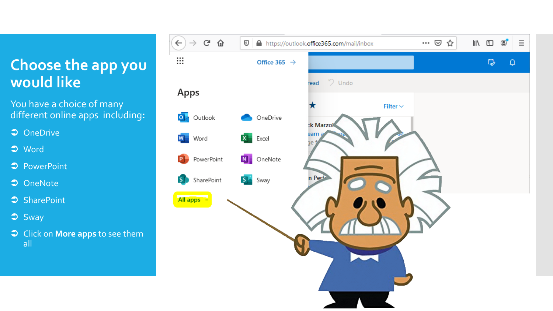#### **Choose the app you would like**

You have a choice of many different online apps including**:**

- **⊃** OneDrive
- $\supset$  Word
- **PowerPoint**
- **C** OneNote
- SharePoint
- $\supset$  Sway
- Click on **More apps** to see them all

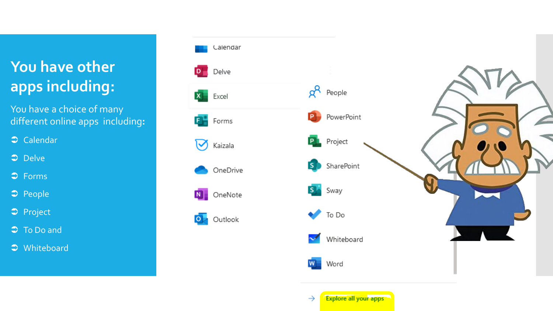# **You have other apps including:**

You have a choice of many different online apps including**:**  $D_{\perp}$ 

 $\mathbf{x}$ 

F.

 $\bm{\triangledown}$ 

 $\circ$ 

Calendar

- $\supset$  Delve
- **D** Forms
- $\Rightarrow$  People
- **Project**
- $\overline{\bullet}$  To Do and
- $\supset$  Whiteboard



 $\rightarrow$